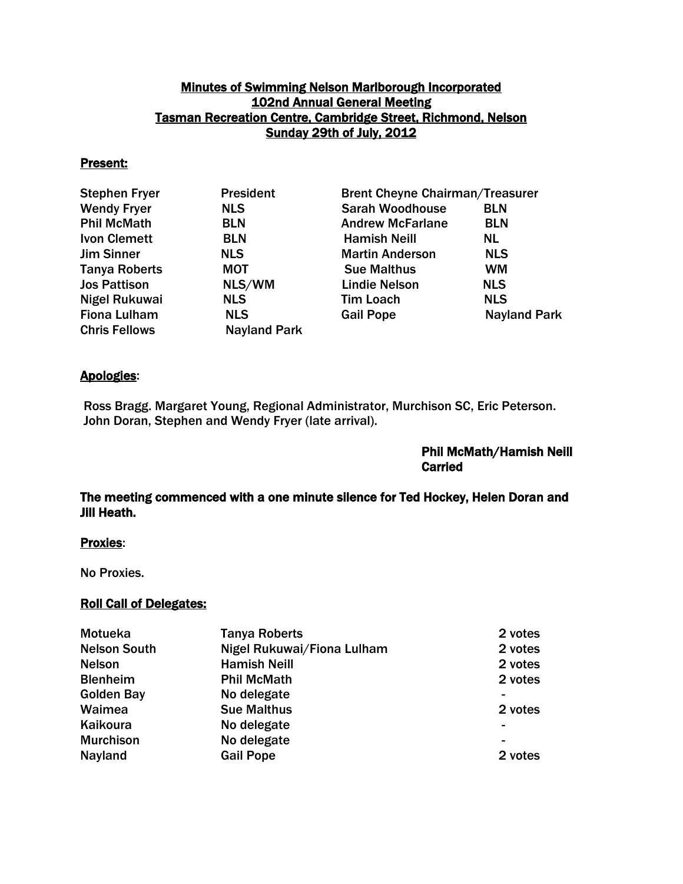## Minutes of Swimming Nelson Marlborough Incorporated 102nd Annual General Meeting Tasman Recreation Centre, Cambridge Street, Richmond, Nelson Sunday 29th of July, 2012

#### Present:

| <b>Stephen Fryer</b> | <b>President</b>    | <b>Brent Cheyne Chairman/Treasurer</b> |                     |
|----------------------|---------------------|----------------------------------------|---------------------|
| <b>Wendy Fryer</b>   | <b>NLS</b>          | <b>Sarah Woodhouse</b>                 | <b>BLN</b>          |
| <b>Phil McMath</b>   | <b>BLN</b>          | <b>Andrew McFarlane</b>                | <b>BLN</b>          |
| <b>Ivon Clemett</b>  | <b>BLN</b>          | <b>Hamish Neill</b>                    | NL.                 |
| <b>Jim Sinner</b>    | <b>NLS</b>          | <b>Martin Anderson</b>                 | <b>NLS</b>          |
| <b>Tanya Roberts</b> | <b>MOT</b>          | <b>Sue Malthus</b>                     | <b>WM</b>           |
| <b>Jos Pattison</b>  | NLS/WM              | <b>Lindie Nelson</b>                   | <b>NLS</b>          |
| Nigel Rukuwai        | <b>NLS</b>          | <b>Tim Loach</b>                       | <b>NLS</b>          |
| <b>Fiona Lulham</b>  | <b>NLS</b>          | <b>Gail Pope</b>                       | <b>Nayland Park</b> |
| <b>Chris Fellows</b> | <b>Nayland Park</b> |                                        |                     |

#### Apologies:

Ross Bragg. Margaret Young, Regional Administrator, Murchison SC, Eric Peterson. John Doran, Stephen and Wendy Fryer (late arrival).

## Phil McMath/Hamish Neill Carried

## The meeting commenced with a one minute silence for Ted Hockey, Helen Doran and Jill Heath.

## Proxies:

No Proxies.

#### Roll Call of Delegates:

| <b>Motueka</b>      | <b>Tanya Roberts</b>       | 2 votes |
|---------------------|----------------------------|---------|
| <b>Nelson South</b> | Nigel Rukuwai/Fiona Lulham | 2 votes |
| <b>Nelson</b>       | <b>Hamish Neill</b>        | 2 votes |
| <b>Blenheim</b>     | <b>Phil McMath</b>         | 2 votes |
| <b>Golden Bay</b>   | No delegate                | -       |
| Waimea              | <b>Sue Malthus</b>         | 2 votes |
| Kaikoura            | No delegate                |         |
| <b>Murchison</b>    | No delegate                | -       |
| Nayland             | <b>Gail Pope</b>           | 2 votes |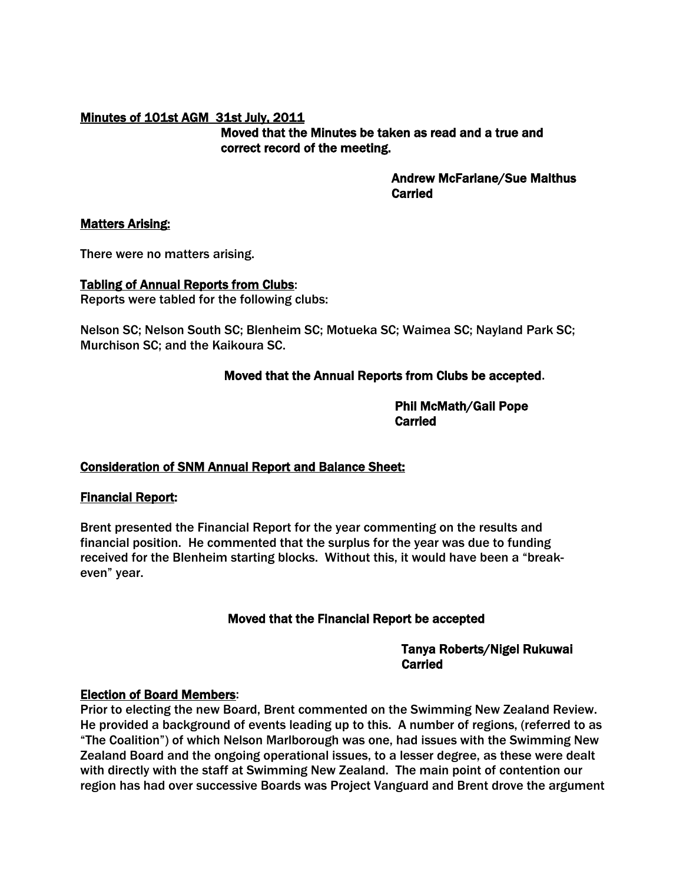## Minutes of 101st AGM 31st July, 2011 Moved that the Minutes be taken as read and a true and correct record of the meeting.

 Andrew McFarlane/Sue Malthus Carried

#### Matters Arising:

There were no matters arising.

# Tabling of Annual Reports from Clubs:

Reports were tabled for the following clubs:

Nelson SC; Nelson South SC; Blenheim SC; Motueka SC; Waimea SC; Nayland Park SC; Murchison SC; and the Kaikoura SC.

# Moved that the Annual Reports from Clubs be accepted.

 Phil McMath/Gail Pope **Carried Carried Carried Carried Carried Carried Carried Carried Carried Carried Carried Carried Carried Carried Carried Carried Carried Carried Carried Carried Carried Carried Carried Carried Carried Carried Carried Carri** 

# Consideration of SNM Annual Report and Balance Sheet:

# Financial Report:

Brent presented the Financial Report for the year commenting on the results and financial position. He commented that the surplus for the year was due to funding received for the Blenheim starting blocks. Without this, it would have been a "breakeven" year.

# Moved that the Financial Report be accepted

 Tanya Roberts/Nigel Rukuwai **Carried Carried Carried Carried Carried Carried Carried Carried Carried Carried Carried Carried Carried Carried Carried Carried Carried Carried Carried Carried Carried Carried Carried Carried Carried Carried Carried Carri** 

#### Election of Board Members:

Prior to electing the new Board, Brent commented on the Swimming New Zealand Review. He provided a background of events leading up to this. A number of regions, (referred to as "The Coalition") of which Nelson Marlborough was one, had issues with the Swimming New Zealand Board and the ongoing operational issues, to a lesser degree, as these were dealt with directly with the staff at Swimming New Zealand. The main point of contention our region has had over successive Boards was Project Vanguard and Brent drove the argument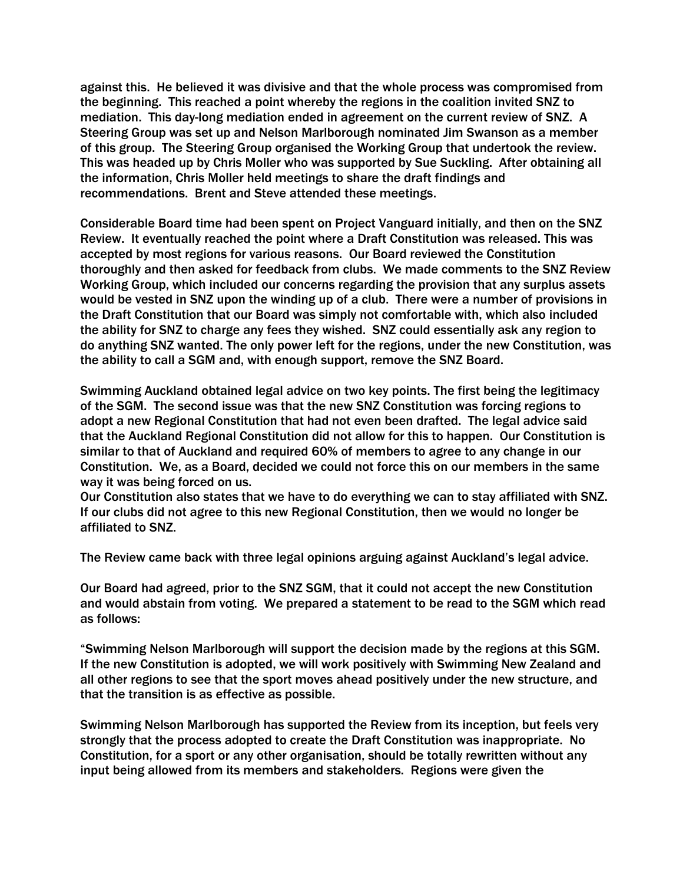against this. He believed it was divisive and that the whole process was compromised from the beginning. This reached a point whereby the regions in the coalition invited SNZ to mediation. This day-long mediation ended in agreement on the current review of SNZ. A Steering Group was set up and Nelson Marlborough nominated Jim Swanson as a member of this group. The Steering Group organised the Working Group that undertook the review. This was headed up by Chris Moller who was supported by Sue Suckling. After obtaining all the information, Chris Moller held meetings to share the draft findings and recommendations. Brent and Steve attended these meetings.

Considerable Board time had been spent on Project Vanguard initially, and then on the SNZ Review. It eventually reached the point where a Draft Constitution was released. This was accepted by most regions for various reasons. Our Board reviewed the Constitution thoroughly and then asked for feedback from clubs. We made comments to the SNZ Review Working Group, which included our concerns regarding the provision that any surplus assets would be vested in SNZ upon the winding up of a club. There were a number of provisions in the Draft Constitution that our Board was simply not comfortable with, which also included the ability for SNZ to charge any fees they wished. SNZ could essentially ask any region to do anything SNZ wanted. The only power left for the regions, under the new Constitution, was the ability to call a SGM and, with enough support, remove the SNZ Board.

Swimming Auckland obtained legal advice on two key points. The first being the legitimacy of the SGM. The second issue was that the new SNZ Constitution was forcing regions to adopt a new Regional Constitution that had not even been drafted. The legal advice said that the Auckland Regional Constitution did not allow for this to happen. Our Constitution is similar to that of Auckland and required 60% of members to agree to any change in our Constitution. We, as a Board, decided we could not force this on our members in the same way it was being forced on us.

Our Constitution also states that we have to do everything we can to stay affiliated with SNZ. If our clubs did not agree to this new Regional Constitution, then we would no longer be affiliated to SNZ.

The Review came back with three legal opinions arguing against Auckland's legal advice.

Our Board had agreed, prior to the SNZ SGM, that it could not accept the new Constitution and would abstain from voting. We prepared a statement to be read to the SGM which read as follows:

"Swimming Nelson Marlborough will support the decision made by the regions at this SGM. If the new Constitution is adopted, we will work positively with Swimming New Zealand and all other regions to see that the sport moves ahead positively under the new structure, and that the transition is as effective as possible.

Swimming Nelson Marlborough has supported the Review from its inception, but feels very strongly that the process adopted to create the Draft Constitution was inappropriate. No Constitution, for a sport or any other organisation, should be totally rewritten without any input being allowed from its members and stakeholders. Regions were given the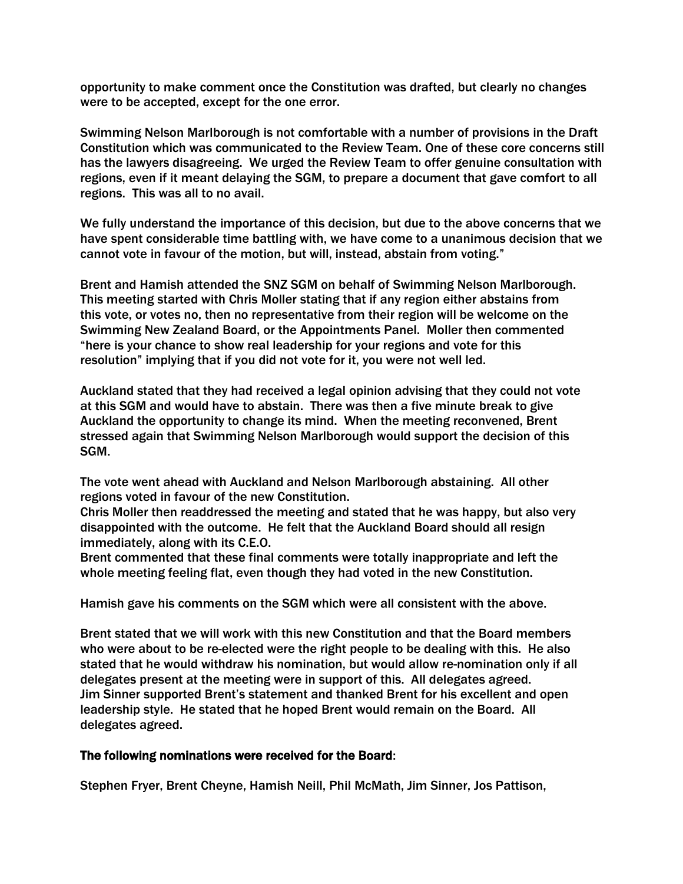opportunity to make comment once the Constitution was drafted, but clearly no changes were to be accepted, except for the one error.

Swimming Nelson Marlborough is not comfortable with a number of provisions in the Draft Constitution which was communicated to the Review Team. One of these core concerns still has the lawyers disagreeing. We urged the Review Team to offer genuine consultation with regions, even if it meant delaying the SGM, to prepare a document that gave comfort to all regions. This was all to no avail.

We fully understand the importance of this decision, but due to the above concerns that we have spent considerable time battling with, we have come to a unanimous decision that we cannot vote in favour of the motion, but will, instead, abstain from voting."

Brent and Hamish attended the SNZ SGM on behalf of Swimming Nelson Marlborough. This meeting started with Chris Moller stating that if any region either abstains from this vote, or votes no, then no representative from their region will be welcome on the Swimming New Zealand Board, or the Appointments Panel. Moller then commented "here is your chance to show real leadership for your regions and vote for this resolution" implying that if you did not vote for it, you were not well led.

Auckland stated that they had received a legal opinion advising that they could not vote at this SGM and would have to abstain. There was then a five minute break to give Auckland the opportunity to change its mind. When the meeting reconvened, Brent stressed again that Swimming Nelson Marlborough would support the decision of this SGM.

The vote went ahead with Auckland and Nelson Marlborough abstaining. All other regions voted in favour of the new Constitution.

Chris Moller then readdressed the meeting and stated that he was happy, but also very disappointed with the outcome. He felt that the Auckland Board should all resign immediately, along with its C.E.O.

Brent commented that these final comments were totally inappropriate and left the whole meeting feeling flat, even though they had voted in the new Constitution.

Hamish gave his comments on the SGM which were all consistent with the above.

Brent stated that we will work with this new Constitution and that the Board members who were about to be re-elected were the right people to be dealing with this. He also stated that he would withdraw his nomination, but would allow re-nomination only if all delegates present at the meeting were in support of this. All delegates agreed. Jim Sinner supported Brent's statement and thanked Brent for his excellent and open leadership style. He stated that he hoped Brent would remain on the Board. All delegates agreed.

#### The following nominations were received for the Board:

Stephen Fryer, Brent Cheyne, Hamish Neill, Phil McMath, Jim Sinner, Jos Pattison,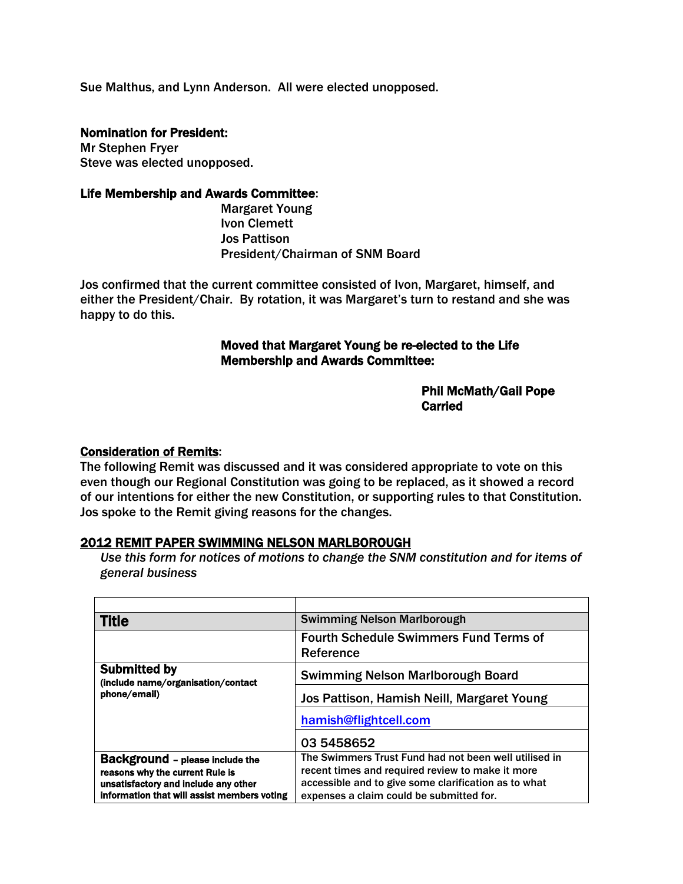Sue Malthus, and Lynn Anderson. All were elected unopposed.

#### Nomination for President:

Mr Stephen Fryer Steve was elected unopposed.

#### Life Membership and Awards Committee:

Margaret Young Ivon Clemett Jos Pattison President/Chairman of SNM Board

Jos confirmed that the current committee consisted of Ivon, Margaret, himself, and either the President/Chair. By rotation, it was Margaret's turn to restand and she was happy to do this.

## Moved that Margaret Young be re-elected to the Life Membership and Awards Committee:

## Phil McMath/Gail Pope **Carried Carried Carried Carried Carried Carried Carried Carried Carried Carried Carried Carried Carried Carried Carried Carried Carried Carried Carried Carried Carried Carried Carried Carried Carried Carried Carried Carri**

#### Consideration of Remits:

The following Remit was discussed and it was considered appropriate to vote on this even though our Regional Constitution was going to be replaced, as it showed a record of our intentions for either the new Constitution, or supporting rules to that Constitution. Jos spoke to the Remit giving reasons for the changes.

#### 2012 REMIT PAPER SWIMMING NELSON MARLBOROUGH

*Use this form for notices of motions to change the SNM constitution and for items of general business*

| <b>Title</b>                                                                                                                                                     | <b>Swimming Nelson Marlborough</b>                                                                                                                                                                            |
|------------------------------------------------------------------------------------------------------------------------------------------------------------------|---------------------------------------------------------------------------------------------------------------------------------------------------------------------------------------------------------------|
|                                                                                                                                                                  | <b>Fourth Schedule Swimmers Fund Terms of</b><br>Reference                                                                                                                                                    |
| <b>Submitted by</b><br>(include name/organisation/contact<br>phone/email)                                                                                        | <b>Swimming Nelson Marlborough Board</b>                                                                                                                                                                      |
|                                                                                                                                                                  | Jos Pattison, Hamish Neill, Margaret Young                                                                                                                                                                    |
|                                                                                                                                                                  | hamish@flightcell.com                                                                                                                                                                                         |
|                                                                                                                                                                  | 03 5458652                                                                                                                                                                                                    |
| <b>Background - please include the</b><br>reasons why the current Rule is<br>unsatisfactory and include any other<br>information that will assist members voting | The Swimmers Trust Fund had not been well utilised in<br>recent times and required review to make it more<br>accessible and to give some clarification as to what<br>expenses a claim could be submitted for. |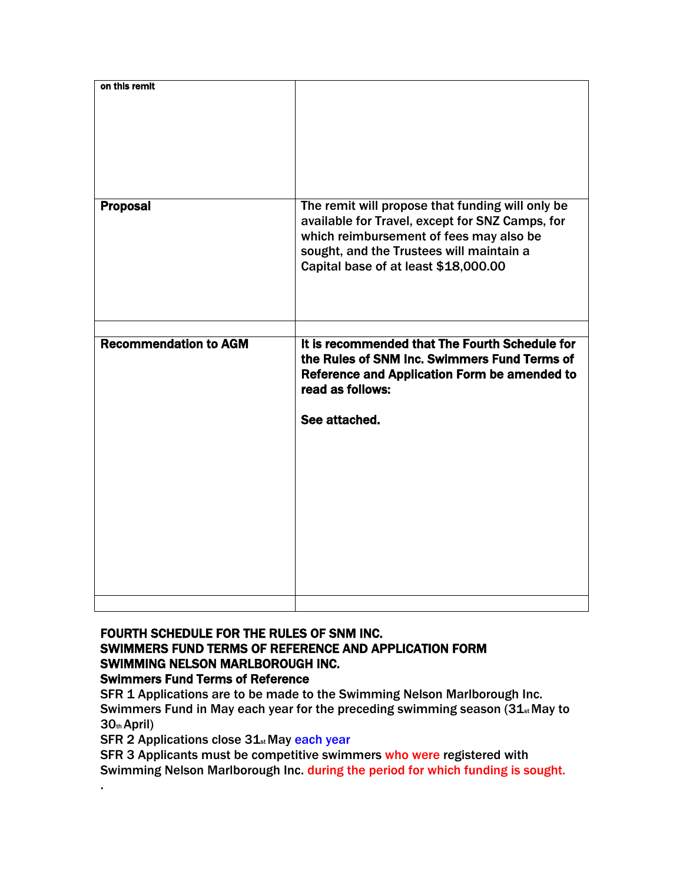| on this remit                |                                                                                                                                                                                                                                    |
|------------------------------|------------------------------------------------------------------------------------------------------------------------------------------------------------------------------------------------------------------------------------|
|                              |                                                                                                                                                                                                                                    |
| <b>Proposal</b>              | The remit will propose that funding will only be<br>available for Travel, except for SNZ Camps, for<br>which reimbursement of fees may also be<br>sought, and the Trustees will maintain a<br>Capital base of at least \$18,000.00 |
|                              |                                                                                                                                                                                                                                    |
| <b>Recommendation to AGM</b> | It is recommended that The Fourth Schedule for<br>the Rules of SNM Inc. Swimmers Fund Terms of<br>Reference and Application Form be amended to<br>read as follows:<br>See attached.                                                |
|                              |                                                                                                                                                                                                                                    |

## FOURTH SCHEDULE FOR THE RULES OF SNM INC. SWIMMERS FUND TERMS OF REFERENCE AND APPLICATION FORM SWIMMING NELSON MARLBOROUGH INC. Swimmers Fund Terms of Reference

SFR 1 Applications are to be made to the Swimming Nelson Marlborough Inc. Swimmers Fund in May each year for the preceding swimming season  $(31_{st}$  May to 30th April)

SFR 2 Applications close 31<sub>st</sub> May each year

.

SFR 3 Applicants must be competitive swimmers who were registered with Swimming Nelson Marlborough Inc. during the period for which funding is sought.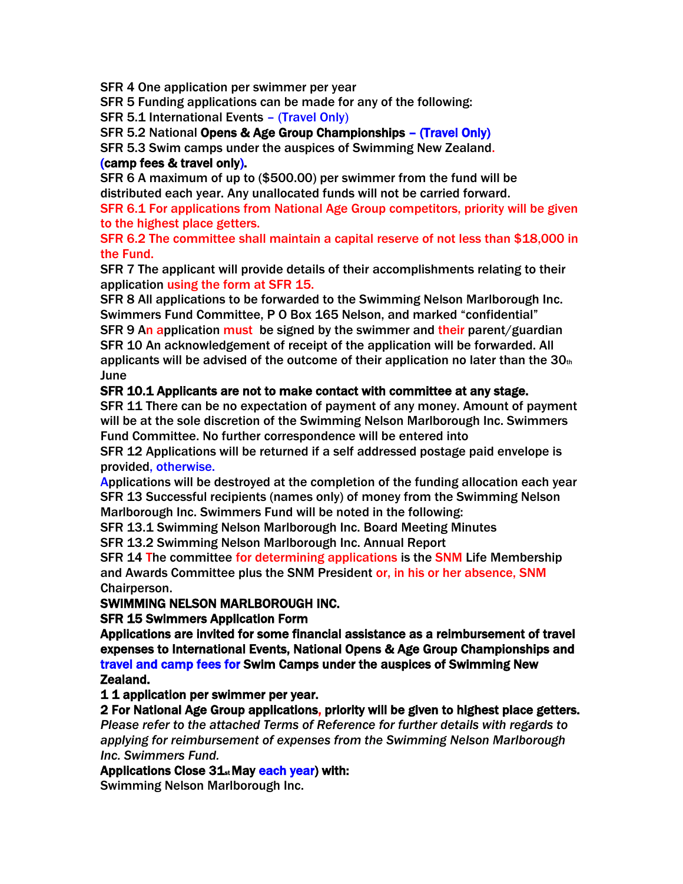SFR 4 One application per swimmer per year

SFR 5 Funding applications can be made for any of the following:

SFR 5.1 International Events – (Travel Only)

SFR 5.2 National Opens & Age Group Championships – (Travel Only)

SFR 5.3 Swim camps under the auspices of Swimming New Zealand.

## (camp fees & travel only).

SFR 6 A maximum of up to (\$500.00) per swimmer from the fund will be distributed each year. Any unallocated funds will not be carried forward.

SFR 6.1 For applications from National Age Group competitors, priority will be given to the highest place getters.

SFR 6.2 The committee shall maintain a capital reserve of not less than \$18,000 in the Fund.

SFR 7 The applicant will provide details of their accomplishments relating to their application using the form at SFR 15.

SFR 8 All applications to be forwarded to the Swimming Nelson Marlborough Inc. Swimmers Fund Committee, P O Box 165 Nelson, and marked "confidential" SFR 9 An application must be signed by the swimmer and their parent/guardian SFR 10 An acknowledgement of receipt of the application will be forwarded. All applicants will be advised of the outcome of their application no later than the  $30<sub>th</sub>$ June

# SFR 10.1 Applicants are not to make contact with committee at any stage.

SFR 11 There can be no expectation of payment of any money. Amount of payment will be at the sole discretion of the Swimming Nelson Marlborough Inc. Swimmers Fund Committee. No further correspondence will be entered into

SFR 12 Applications will be returned if a self addressed postage paid envelope is provided, otherwise.

Applications will be destroyed at the completion of the funding allocation each year SFR 13 Successful recipients (names only) of money from the Swimming Nelson Marlborough Inc. Swimmers Fund will be noted in the following:

SFR 13.1 Swimming Nelson Marlborough Inc. Board Meeting Minutes

SFR 13.2 Swimming Nelson Marlborough Inc. Annual Report

SFR 14 The committee for determining applications is the SNM Life Membership and Awards Committee plus the SNM President or, in his or her absence, SNM Chairperson.

# SWIMMING NELSON MARLBOROUGH INC.

SFR 15 Swimmers Application Form

Applications are invited for some financial assistance as a reimbursement of travel expenses to International Events, National Opens & Age Group Championships and travel and camp fees for Swim Camps under the auspices of Swimming New Zealand.

1 1 application per swimmer per year.

2 For National Age Group applications, priority will be given to highest place getters.

*Please refer to the attached Terms of Reference for further details with regards to applying for reimbursement of expenses from the Swimming Nelson Marlborough Inc. Swimmers Fund.*

# Applications Close 31<sub>st</sub> May each year) with:

Swimming Nelson Marlborough Inc.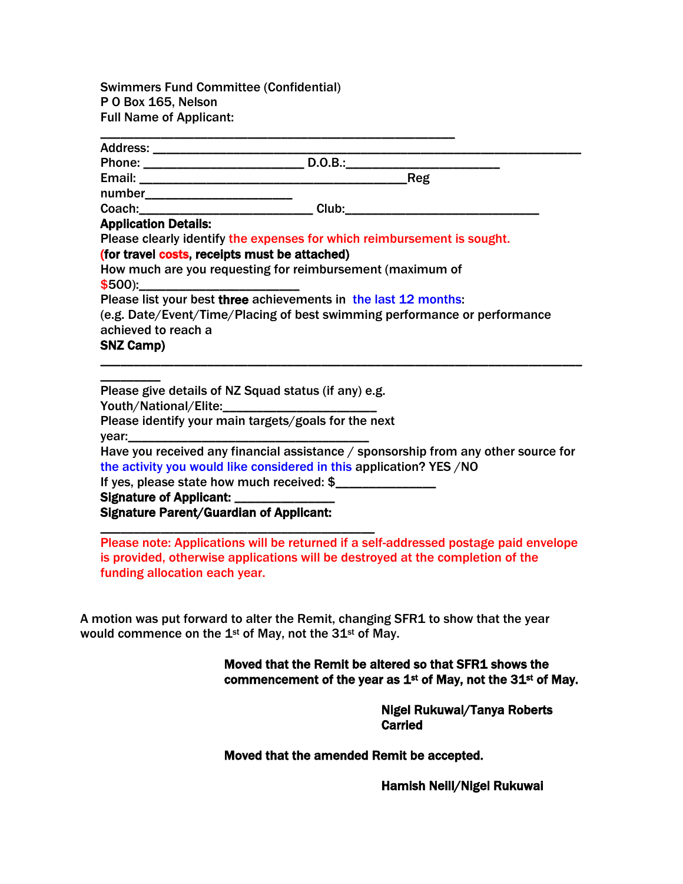Swimmers Fund Committee (Confidential) P O Box 165, Nelson Full Name of Applicant:

\_\_\_\_\_\_\_\_\_\_\_\_\_\_\_\_\_\_\_\_\_\_\_\_\_\_\_\_\_\_\_\_\_\_\_\_\_\_\_\_\_\_\_\_\_\_\_\_\_\_\_\_\_

| Address: ____________________________                                                                             |                                                                           |
|-------------------------------------------------------------------------------------------------------------------|---------------------------------------------------------------------------|
|                                                                                                                   |                                                                           |
|                                                                                                                   | Reg                                                                       |
| number__________________________                                                                                  |                                                                           |
|                                                                                                                   |                                                                           |
| <b>Application Details:</b>                                                                                       |                                                                           |
|                                                                                                                   | Please clearly identify the expenses for which reimbursement is sought.   |
| (for travel costs, receipts must be attached)                                                                     |                                                                           |
|                                                                                                                   | How much are you requesting for reimbursement (maximum of                 |
|                                                                                                                   |                                                                           |
|                                                                                                                   | Please list your best three achievements in the last 12 months:           |
|                                                                                                                   | (e.g. Date/Event/Time/Placing of best swimming performance or performance |
| achieved to reach a                                                                                               |                                                                           |
| <b>SNZ Camp)</b>                                                                                                  |                                                                           |
|                                                                                                                   |                                                                           |
|                                                                                                                   |                                                                           |
| Please give details of NZ Squad status (if any) e.g.                                                              |                                                                           |
| $\mathbf{V}$ La $\mathbf{V}$ and $\mathbf{V}$ and $\mathbf{V}$ and $\mathbf{V}$ and $\mathbf{V}$ and $\mathbf{V}$ |                                                                           |

Youth/National/Elite:

Please identify your main targets/goals for the next

vear:

Have you received any financial assistance / sponsorship from any other source for the activity you would like considered in this application? YES /NO

If yes, please state how much received: \$

\_\_\_\_\_\_\_\_\_\_\_\_\_\_\_\_\_\_\_\_\_\_\_\_\_\_\_\_\_\_\_\_\_\_\_\_\_\_\_\_\_

Signature of Applicant: Signature Parent/Guardian of Applicant:

Please note: Applications will be returned if a self-addressed postage paid envelope is provided, otherwise applications will be destroyed at the completion of the funding allocation each year.

A motion was put forward to alter the Remit, changing SFR1 to show that the year would commence on the 1<sup>st</sup> of May, not the 31<sup>st</sup> of May.

# Moved that the Remit be altered so that SFR1 shows the commencement of the year as  $1^{st}$  of May, not the 31 $^{st}$  of May.

 Nigel Rukuwai/Tanya Roberts Carried

Moved that the amended Remit be accepted.

Hamish Neill/Nigel Rukuwai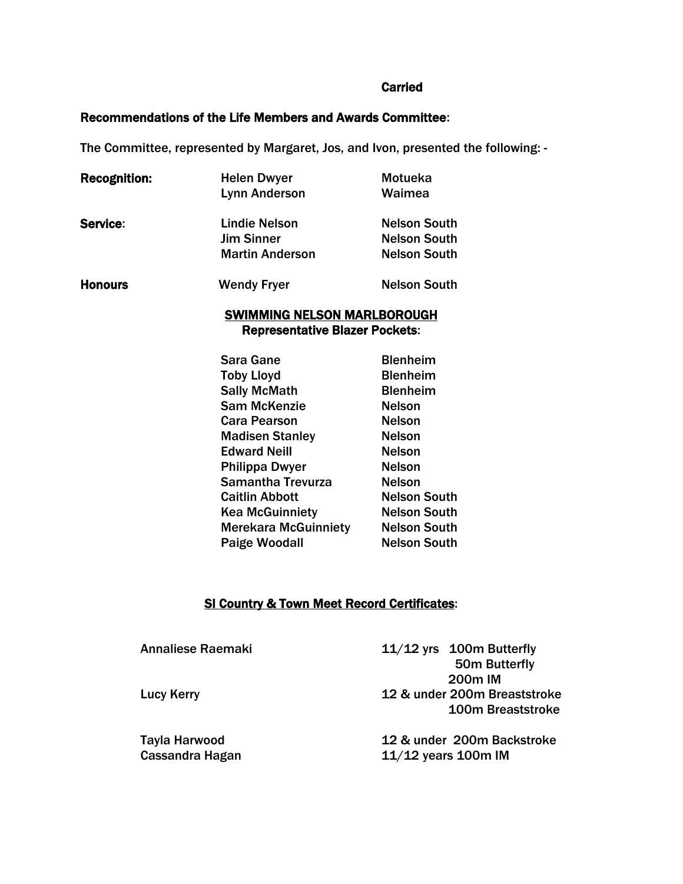#### Carried

## Recommendations of the Life Members and Awards Committee:

The Committee, represented by Margaret, Jos, and Ivon, presented the following: -

| <b>Recognition:</b> | <b>Helen Dwyer</b>                    | Motueka             |
|---------------------|---------------------------------------|---------------------|
|                     | <b>Lynn Anderson</b>                  | Waimea              |
| Service:            | <b>Lindie Nelson</b>                  | <b>Nelson South</b> |
|                     | <b>Jim Sinner</b>                     | <b>Nelson South</b> |
|                     | <b>Martin Anderson</b>                | <b>Nelson South</b> |
| <b>Honours</b>      | <b>Wendy Fryer</b>                    | <b>Nelson South</b> |
|                     | <b>SWIMMING NELSON MARLBOROUGH</b>    |                     |
|                     | <b>Representative Blazer Pockets:</b> |                     |
|                     | Sara Gane                             | <b>Blenheim</b>     |
|                     | <b>Toby Lloyd</b>                     | <b>Blenheim</b>     |
|                     | <b>Sally McMath</b>                   | <b>Blenheim</b>     |
|                     | <b>Sam McKenzie</b>                   | <b>Nelson</b>       |
|                     | <b>Cara Pearson</b>                   | <b>Nelson</b>       |
|                     | <b>Madisen Stanley</b>                | <b>Nelson</b>       |
|                     | <b>Edward Neill</b>                   | <b>Nelson</b>       |
|                     | <b>Philippa Dwyer</b>                 | <b>Nelson</b>       |
|                     | <b>Samantha Trevurza</b>              | <b>Nelson</b>       |
|                     | <b>Caitlin Abbott</b>                 | <b>Nelson South</b> |
|                     | <b>Kea McGuinniety</b>                | <b>Nelson South</b> |
|                     | <b>Merekara McGuinniety</b>           | <b>Nelson South</b> |
|                     | Paige Woodall                         | <b>Nelson South</b> |
|                     |                                       |                     |
|                     |                                       |                     |

# SI Country & Town Meet Record Certificates:

| Annaliese Raemaki                | $11/12$ yrs 100m Butterfly<br>50m Butterfly<br>200 <sub>m</sub> IM |
|----------------------------------|--------------------------------------------------------------------|
| Lucy Kerry                       | 12 & under 200m Breaststroke<br><b>100m Breaststroke</b>           |
| Tayla Harwood<br>Cassandra Hagan | 12 & under 200m Backstroke<br>$11/12$ years 100m IM                |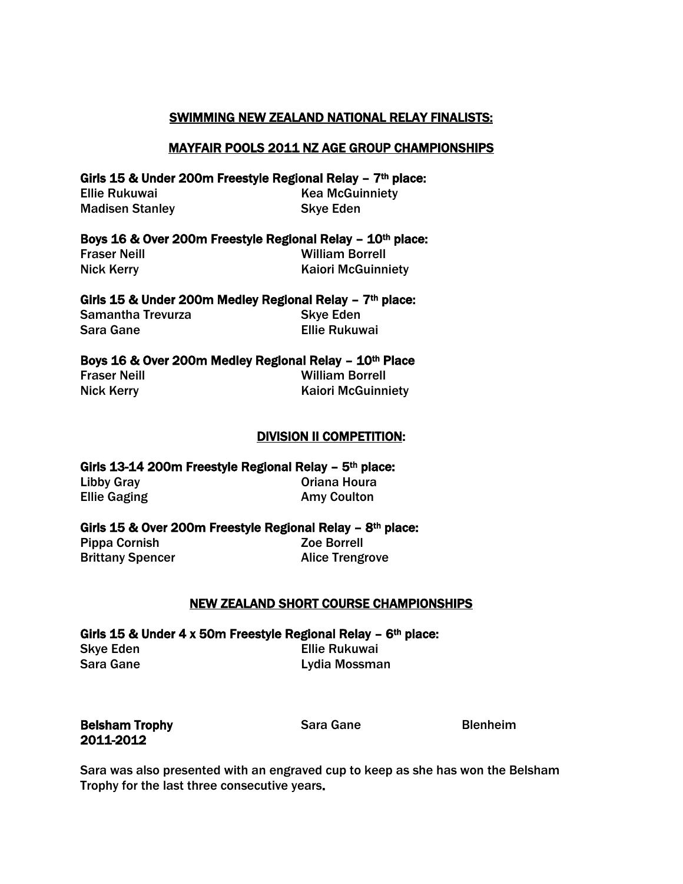## SWIMMING NEW ZEALAND NATIONAL RELAY FINALISTS:

## MAYFAIR POOLS 2011 NZ AGE GROUP CHAMPIONSHIPS

Girls 15 & Under 200m Freestyle Regional Relay - 7<sup>th</sup> place: Ellie Rukuwai **Kea McGuinniety** Madisen Stanley National Skye Eden

#### Boys 16 & Over 200m Freestyle Regional Relay - 10<sup>th</sup> place:

Fraser Neill William Borrell Nick Kerry **Kaiori McGuinniety** 

Girls 15 & Under 200m Medley Regional Relay  $-7<sup>th</sup>$  place: Samantha Trevurza Skye Eden Sara Gane Ellie Rukuwai

## Boys 16 & Over 200m Medley Regional Relay - 10th Place

Fraser Neill William Borrell Nick Kerry **Kaiori McGuinniety** 

#### DIVISION II COMPETITION:

Girls 13-14 200m Freestyle Regional Relay – 5th place: Libby Gray **Canaca Community Community Community** Oriana Houra Ellie Gaging **Amy Coulton** 

Girls 15 & Over 200m Freestyle Regional Relay – 8th place:

Pippa Cornish Zoe Borrell

Brittany Spencer **Alice Trengrove** 

# NEW ZEALAND SHORT COURSE CHAMPIONSHIPS

Girls 15 & Under 4 x 50m Freestyle Regional Relay -  $6<sup>th</sup>$  place: Skye Eden **Ellie Rukuwai** Sara Gane Lydia Mossman

**Belsham Trophy Sara Gane** Blenheim 2011-2012

Sara was also presented with an engraved cup to keep as she has won the Belsham Trophy for the last three consecutive years.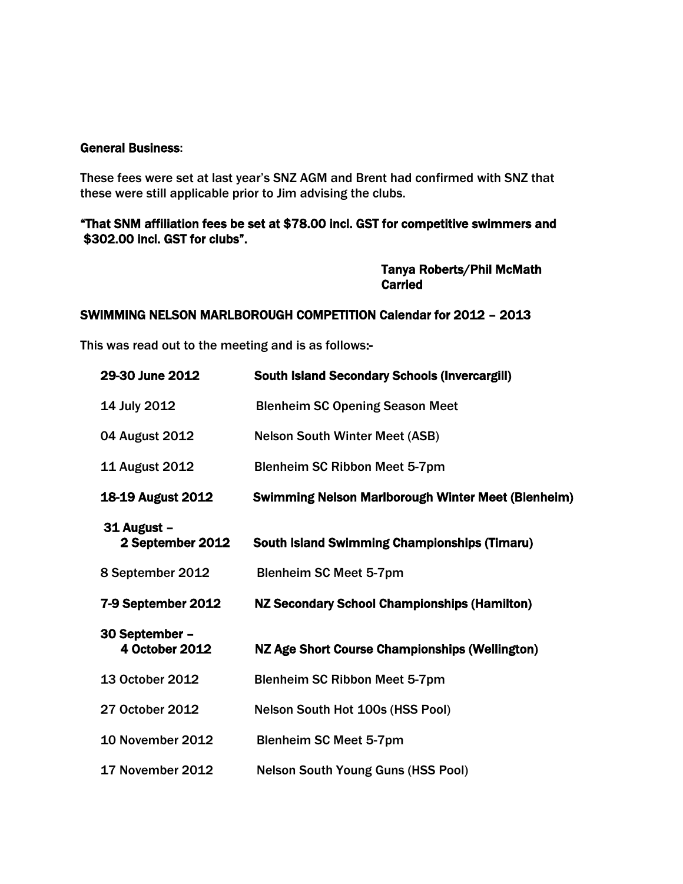#### General Business:

These fees were set at last year's SNZ AGM and Brent had confirmed with SNZ that these were still applicable prior to Jim advising the clubs.

# "That SNM affiliation fees be set at \$78.00 incl. GST for competitive swimmers and \$302.00 incl. GST for clubs".

 Tanya Roberts/Phil McMath **Carried** 

## SWIMMING NELSON MARLBOROUGH COMPETITION Calendar for 2012 – 2013

This was read out to the meeting and is as follows:-

| 29-30 June 2012                  | <b>South Island Secondary Schools (Invercargill)</b>      |
|----------------------------------|-----------------------------------------------------------|
| 14 July 2012                     | <b>Blenheim SC Opening Season Meet</b>                    |
| 04 August 2012                   | <b>Nelson South Winter Meet (ASB)</b>                     |
| 11 August 2012                   | <b>Blenheim SC Ribbon Meet 5-7pm</b>                      |
| <b>18-19 August 2012</b>         | <b>Swimming Nelson Marlborough Winter Meet (Blenheim)</b> |
| 31 August -<br>2 September 2012  | <b>South Island Swimming Championships (Timaru)</b>       |
| 8 September 2012                 | <b>Blenheim SC Meet 5-7pm</b>                             |
| 7-9 September 2012               | <b>NZ Secondary School Championships (Hamilton)</b>       |
| 30 September -<br>4 October 2012 | NZ Age Short Course Championships (Wellington)            |
| 13 October 2012                  | <b>Blenheim SC Ribbon Meet 5-7pm</b>                      |
| 27 October 2012                  | Nelson South Hot 100s (HSS Pool)                          |
| <b>10 November 2012</b>          | <b>Blenheim SC Meet 5-7pm</b>                             |
| 17 November 2012                 | <b>Nelson South Young Guns (HSS Pool)</b>                 |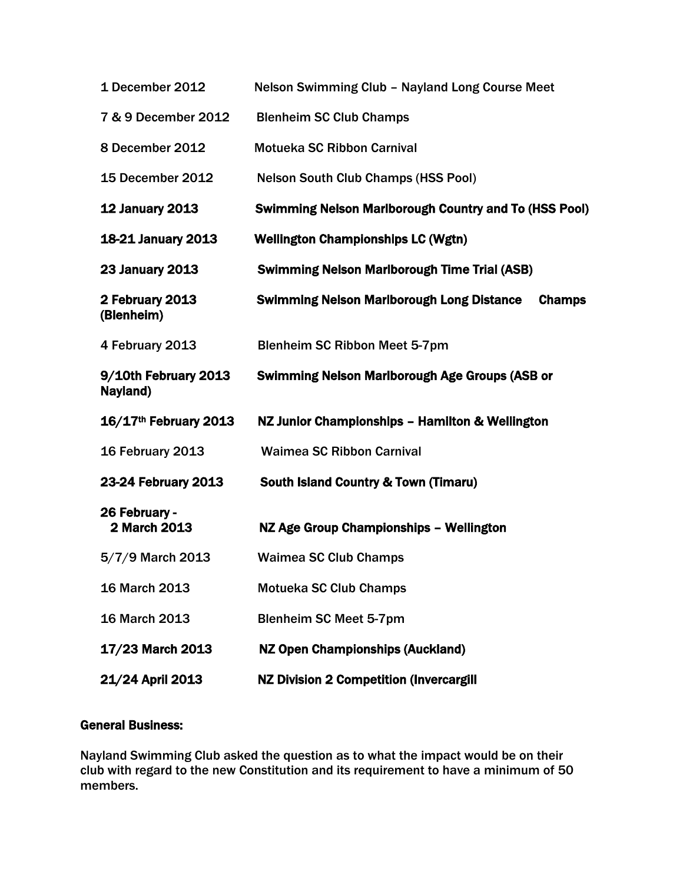| 1 December 2012                  | Nelson Swimming Club - Nayland Long Course Meet                   |
|----------------------------------|-------------------------------------------------------------------|
| 7 & 9 December 2012              | <b>Blenheim SC Club Champs</b>                                    |
| 8 December 2012                  | <b>Motueka SC Ribbon Carnival</b>                                 |
| <b>15 December 2012</b>          | <b>Nelson South Club Champs (HSS Pool)</b>                        |
| <b>12 January 2013</b>           | <b>Swimming Nelson Marlborough Country and To (HSS Pool)</b>      |
| <b>18-21 January 2013</b>        | <b>Wellington Championships LC (Wgtn)</b>                         |
| <b>23 January 2013</b>           | <b>Swimming Nelson Marlborough Time Trial (ASB)</b>               |
| 2 February 2013<br>(Blenheim)    | <b>Swimming Nelson Marlborough Long Distance</b><br><b>Champs</b> |
| 4 February 2013                  | <b>Blenheim SC Ribbon Meet 5-7pm</b>                              |
| 9/10th February 2013<br>Nayland) | <b>Swimming Nelson Marlborough Age Groups (ASB or</b>             |
| 16/17th February 2013            | NZ Junior Championships - Hamilton & Wellington                   |
| 16 February 2013                 | <b>Waimea SC Ribbon Carnival</b>                                  |
| 23-24 February 2013              | <b>South Island Country &amp; Town (Timaru)</b>                   |
| 26 February -<br>2 March 2013    | NZ Age Group Championships - Wellington                           |
| 5/7/9 March 2013                 | <b>Waimea SC Club Champs</b>                                      |
| 16 March 2013                    | <b>Motueka SC Club Champs</b>                                     |
| <b>16 March 2013</b>             | <b>Blenheim SC Meet 5-7pm</b>                                     |
| 17/23 March 2013                 | <b>NZ Open Championships (Auckland)</b>                           |
| 21/24 April 2013                 | <b>NZ Division 2 Competition (Invercargill</b>                    |

# General Business:

Nayland Swimming Club asked the question as to what the impact would be on their club with regard to the new Constitution and its requirement to have a minimum of 50 members.